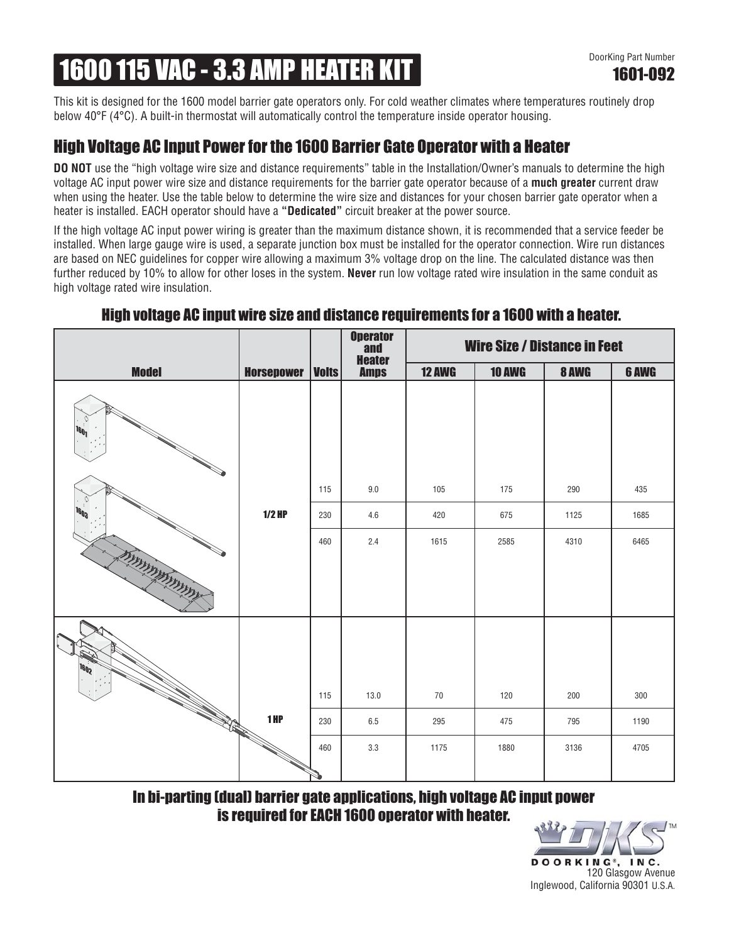# 1600 115 VAC - 3.3 AMP HEATER KIT

This kit is designed for the 1600 model barrier gate operators only. For cold weather climates where temperatures routinely drop below 40°F (4°C). A built-in thermostat will automatically control the temperature inside operator housing.

## High Voltage AC Input Power for the 1600 Barrier Gate Operator with a Heater

**DO NOT** use the "high voltage wire size and distance requirements" table in the Installation/Owner's manuals to determine the high voltage AC input power wire size and distance requirements for the barrier gate operator because of a **much greater** current draw when using the heater. Use the table below to determine the wire size and distances for your chosen barrier gate operator when a heater is installed. EACH operator should have a **"Dedicated"** circuit breaker at the power source.

If the high voltage AC input power wiring is greater than the maximum distance shown, it is recommended that a service feeder be installed. When large gauge wire is used, a separate junction box must be installed for the operator connection. Wire run distances are based on NEC guidelines for copper wire allowing a maximum 3% voltage drop on the line. The calculated distance was then further reduced by 10% to allow for other loses in the system. **Never** run low voltage rated wire insulation in the same conduit as high voltage rated wire insulation.

#### Wire Size / Distance in Feet Operator and **Heater**<br>**Amps** Model Horsepower Volts 12 AWG 10 AWG 8 AWG 6 AWG Amps 1<sub>601</sub> 115 9.0 105 175 290 435 **1603** 1/2 HP 230 4.6 420 675 1125 1685 460 2.4 1615 2585 4310 6465 **MARKKANING 1602** 115 13.0 70 120 200 300 **RANGER** 1 HP 230 6.5 295 475 795 1190 460 3.3 1175 1880 3136 4705

### High voltage AC input wire size and distance requirements for a 1600 with a heater.

In bi-parting (dual) barrier gate applications, high voltage AC input power is required for EACH 1600 operator with heater.

> DOORKING®, INC. 120 Glasgow Avenue Inglewood, California 90301 U.S.A.